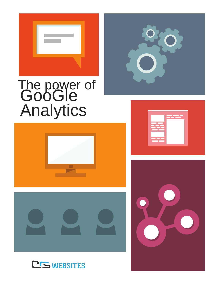

# The power of<br>GooGle<br>Analytics









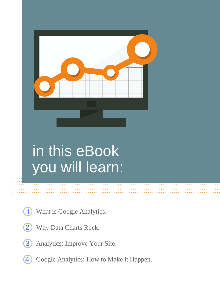## in this eBook you will learn:

- What is Google Analytics.  $\overline{\mathbf{1}}$
- Why Data Charts Rock.  $\overline{2}$
- Analytics: Improve Your Site. 3
- Google Analytics: How to Make it Happen. 4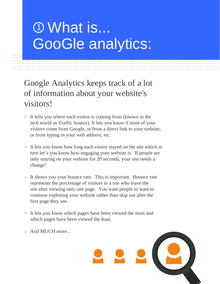### **10 What is... GooGle analytics:**

Google Analytics keeps track of a lot of information about your website's visitors!

- > It tells you where each visitor is coming from (known in the tech world as Traffic Source). It lets you know if most of your visitors come from Google, or from a direct link to your website, or from typing in your web address, etc.
- > It lets you know how long each visitor stayed on the site which in turn let's you know how engaging your website is. If people are only staying on your website for 20 seconds, your site needs a change!
- > It shows you your bounce rate. This is important. Bounce rate represents the percentage of visitors to a site who leave the site after viewing only one page. You want people to want to continue exploring your website rather than skip out after the first page they see.
- > It lets you know which pages have been viewed the most and which pages have been viewed the least.
- > And MUCH more...

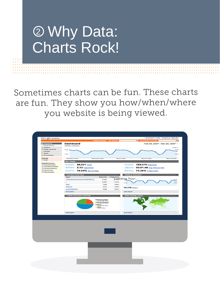### <sup>2</sup> Why Data: Charts Rock!

Sometimes charts can be fun. These charts are fun. They show you how/when/where you website is being viewed.

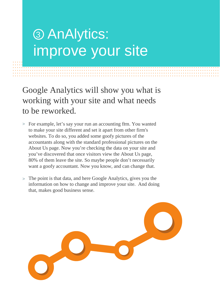#### 3 AnAlytics: improve your site

Google Analytics will show you what is working with your site and what needs to be reworked.

- > For example, let's say your run an accounting frm. You wanted to make your site different and set it apart from other firm's websites. To do so, you added some goofy pictures of the accountants along with the standard professional pictures on the About Us page. Now you're checking the data on your site and you've discovered that once visitors view the About Us page, 80% of them leave the site. So maybe people don't necessarily want a goofy accountant. Now you know, and can change that.
- > The point is that data, and here Google Analytics, gives you the information on how to change and improve your site. And doing that, makes good business sense.